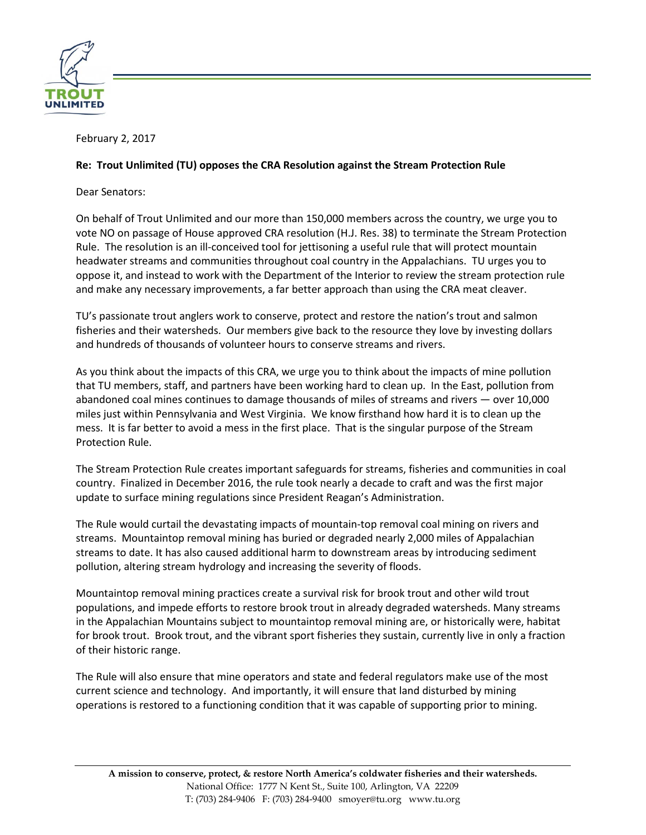

February 2, 2017

## **Re: Trout Unlimited (TU) opposes the CRA Resolution against the Stream Protection Rule**

Dear Senators:

On behalf of Trout Unlimited and our more than 150,000 members across the country, we urge you to vote NO on passage of House approved CRA resolution [\(H.J. Res. 38\)](https://www.congress.gov/114/bills/hjres107/BILLS-114hjres107ih.pdf) to terminate the Stream Protection Rule. The resolution is an ill-conceived tool for jettisoning a useful rule that will protect mountain headwater streams and communities throughout coal country in the Appalachians. TU urges you to oppose it, and instead to work with the Department of the Interior to review the stream protection rule and make any necessary improvements, a far better approach than using the CRA meat cleaver.

TU's passionate trout anglers work to conserve, protect and restore the nation's trout and salmon fisheries and their watersheds. Our members give back to the resource they love by investing dollars and hundreds of thousands of volunteer hours to conserve streams and rivers.

As you think about the impacts of this CRA, we urge you to think about the impacts of mine pollution that TU members, staff, and partners have been working hard to clean up. In the East, pollution from abandoned coal mines continues to damage thousands of miles of streams and rivers — over 10,000 miles just within Pennsylvania and West Virginia. We know firsthand how hard it is to clean up the mess. It is far better to avoid a mess in the first place. That is the singular purpose of the Stream Protection Rule.

The Stream Protection Rule creates important safeguards for streams, fisheries and communities in coal country. Finalized in December 2016, the rule took nearly a decade to craft and was the first major update to surface mining regulations since President Reagan's Administration.

The Rule would curtail the devastating impacts of mountain-top removal coal mining on rivers and streams. Mountaintop removal mining has buried or degraded nearly 2,000 miles of Appalachian streams to date. It has also caused additional harm to downstream areas by introducing sediment pollution, altering stream hydrology and increasing the severity of floods.

Mountaintop removal mining practices create a survival risk for brook trout and other wild trout populations, and impede efforts to restore brook trout in already degraded watersheds. Many streams in the Appalachian Mountains subject to mountaintop removal mining are, or historically were, habitat for brook trout. Brook trout, and the vibrant sport fisheries they sustain, currently live in only a fraction of their historic range.

The Rule will also ensure that mine operators and state and federal regulators make use of the most current science and technology. And importantly, it will ensure that land disturbed by mining operations is restored to a functioning condition that it was capable of supporting prior to mining.